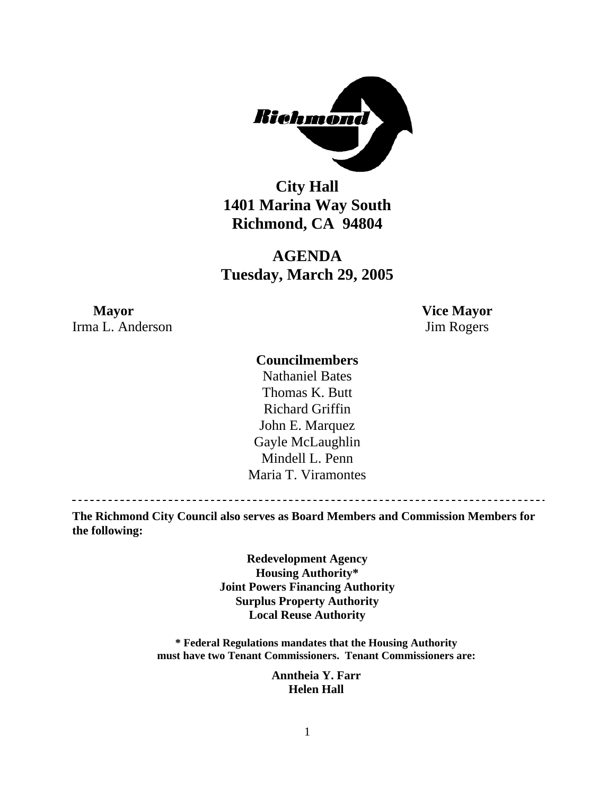

**City Hall 1401 Marina Way South Richmond, CA 94804** 

**AGENDA Tuesday, March 29, 2005** 

## **Mayor Vice Mayor** Irma L. Anderson Jim Rogers

### **Councilmembers**

Nathaniel Bates Thomas K. Butt Richard Griffin John E. Marquez Gayle McLaughlin Mindell L. Penn Maria T. Viramontes

**The Richmond City Council also serves as Board Members and Commission Members for the following:** 

> **Redevelopment Agency Housing Authority\* Joint Powers Financing Authority Surplus Property Authority Local Reuse Authority**

**\* Federal Regulations mandates that the Housing Authority must have two Tenant Commissioners. Tenant Commissioners are:** 

> **Anntheia Y. Farr Helen Hall**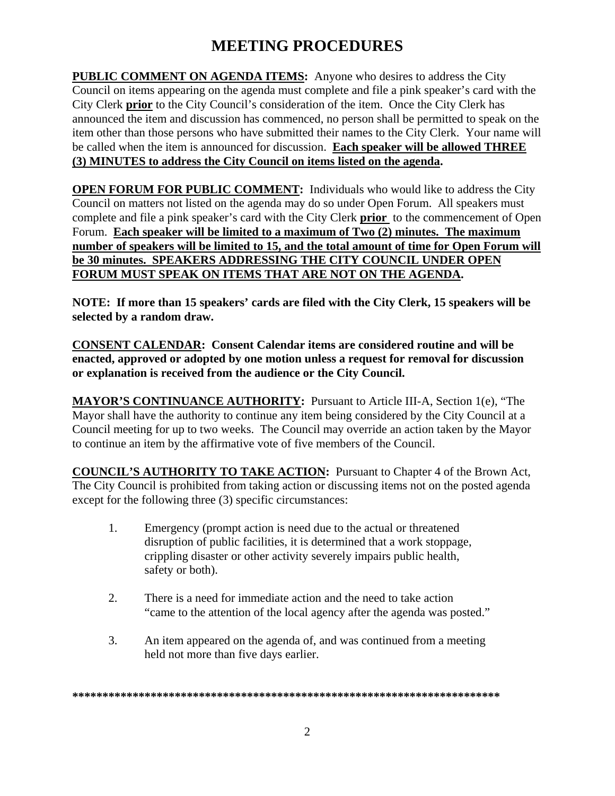# **MEETING PROCEDURES**

**PUBLIC COMMENT ON AGENDA ITEMS:** Anyone who desires to address the City Council on items appearing on the agenda must complete and file a pink speaker's card with the City Clerk **prior** to the City Council's consideration of the item. Once the City Clerk has announced the item and discussion has commenced, no person shall be permitted to speak on the item other than those persons who have submitted their names to the City Clerk. Your name will be called when the item is announced for discussion. **Each speaker will be allowed THREE (3) MINUTES to address the City Council on items listed on the agenda.** 

**OPEN FORUM FOR PUBLIC COMMENT:** Individuals who would like to address the City Council on matters not listed on the agenda may do so under Open Forum. All speakers must complete and file a pink speaker's card with the City Clerk **prior** to the commencement of Open Forum. **Each speaker will be limited to a maximum of Two (2) minutes. The maximum number of speakers will be limited to 15, and the total amount of time for Open Forum will be 30 minutes. SPEAKERS ADDRESSING THE CITY COUNCIL UNDER OPEN FORUM MUST SPEAK ON ITEMS THAT ARE NOT ON THE AGENDA.** 

**NOTE: If more than 15 speakers' cards are filed with the City Clerk, 15 speakers will be selected by a random draw.** 

**CONSENT CALENDAR: Consent Calendar items are considered routine and will be enacted, approved or adopted by one motion unless a request for removal for discussion or explanation is received from the audience or the City Council.** 

**MAYOR'S CONTINUANCE AUTHORITY:** Pursuant to Article III-A, Section 1(e), "The Mayor shall have the authority to continue any item being considered by the City Council at a Council meeting for up to two weeks. The Council may override an action taken by the Mayor to continue an item by the affirmative vote of five members of the Council.

**COUNCIL'S AUTHORITY TO TAKE ACTION:** Pursuant to Chapter 4 of the Brown Act, The City Council is prohibited from taking action or discussing items not on the posted agenda except for the following three (3) specific circumstances:

- 1. Emergency (prompt action is need due to the actual or threatened disruption of public facilities, it is determined that a work stoppage, crippling disaster or other activity severely impairs public health, safety or both).
- 2. There is a need for immediate action and the need to take action "came to the attention of the local agency after the agenda was posted."
- 3. An item appeared on the agenda of, and was continued from a meeting held not more than five days earlier.

**\*\*\*\*\*\*\*\*\*\*\*\*\*\*\*\*\*\*\*\*\*\*\*\*\*\*\*\*\*\*\*\*\*\*\*\*\*\*\*\*\*\*\*\*\*\*\*\*\*\*\*\*\*\*\*\*\*\*\*\*\*\*\*\*\*\*\*\*\*\*\***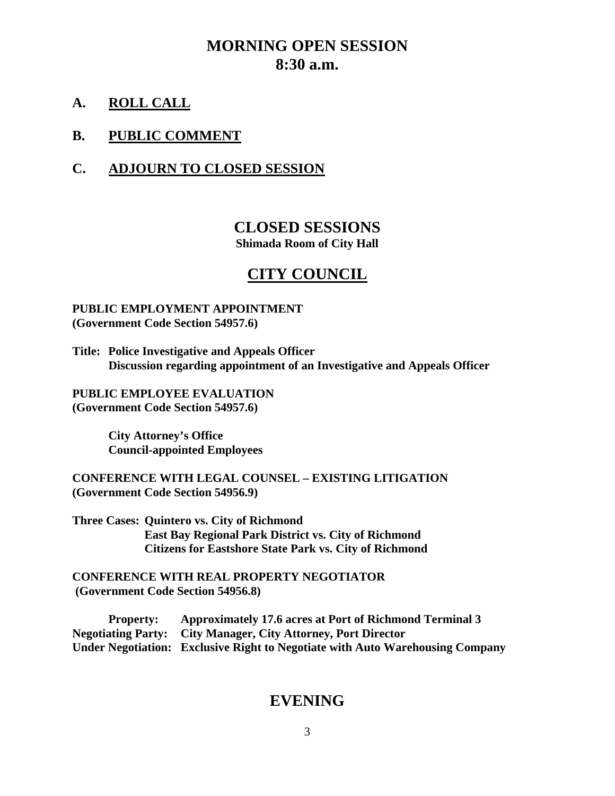## **MORNING OPEN SESSION 8:30 a.m.**

**A. ROLL CALL**

### **B. PUBLIC COMMENT**

## **C. ADJOURN TO CLOSED SESSION**

## **CLOSED SESSIONS Shimada Room of City Hall**

## **CITY COUNCIL**

#### **PUBLIC EMPLOYMENT APPOINTMENT (Government Code Section 54957.6)**

**Title: Police Investigative and Appeals Officer Discussion regarding appointment of an Investigative and Appeals Officer** 

**PUBLIC EMPLOYEE EVALUATION (Government Code Section 54957.6)** 

> **City Attorney's Office Council-appointed Employees**

**CONFERENCE WITH LEGAL COUNSEL – EXISTING LITIGATION (Government Code Section 54956.9)** 

**Three Cases: Quintero vs. City of Richmond East Bay Regional Park District vs. City of Richmond Citizens for Eastshore State Park vs. City of Richmond** 

**CONFERENCE WITH REAL PROPERTY NEGOTIATOR (Government Code Section 54956.8)** 

 **Property: Approximately 17.6 acres at Port of Richmond Terminal 3 Negotiating Party: City Manager, City Attorney, Port Director Under Negotiation: Exclusive Right to Negotiate with Auto Warehousing Company** 

## **EVENING**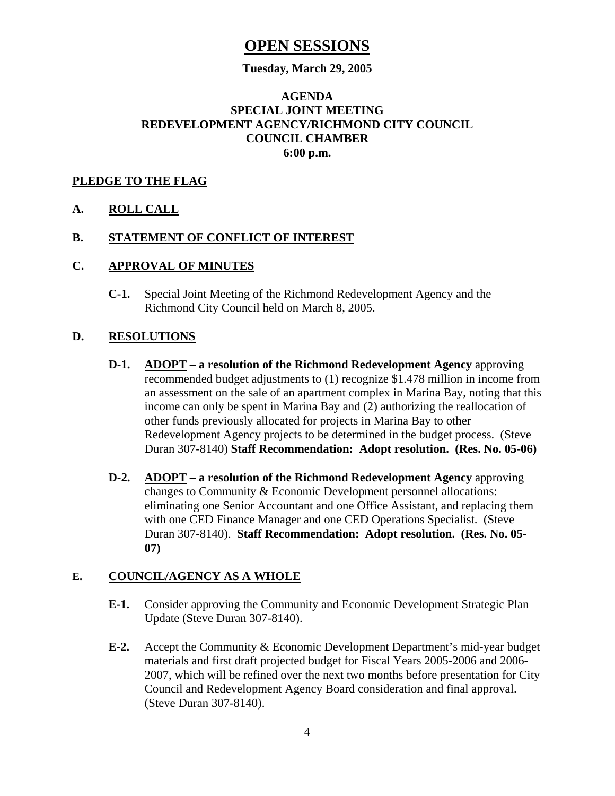## **OPEN SESSIONS**

#### **Tuesday, March 29, 2005**

### **AGENDA SPECIAL JOINT MEETING REDEVELOPMENT AGENCY/RICHMOND CITY COUNCIL COUNCIL CHAMBER 6:00 p.m.**

#### **PLEDGE TO THE FLAG**

#### **A. ROLL CALL**

#### **B. STATEMENT OF CONFLICT OF INTEREST**

#### **C. APPROVAL OF MINUTES**

 **C-1.** Special Joint Meeting of the Richmond Redevelopment Agency and the Richmond City Council held on March 8, 2005.

#### **D. RESOLUTIONS**

- **D-1. ADOPT a resolution of the Richmond Redevelopment Agency** approving recommended budget adjustments to (1) recognize \$1.478 million in income from an assessment on the sale of an apartment complex in Marina Bay, noting that this income can only be spent in Marina Bay and (2) authorizing the reallocation of other funds previously allocated for projects in Marina Bay to other Redevelopment Agency projects to be determined in the budget process. (Steve Duran 307-8140) **Staff Recommendation: Adopt resolution. (Res. No. 05-06)**
- **D-2. ADOPT a resolution of the Richmond Redevelopment Agency** approving changes to Community & Economic Development personnel allocations: eliminating one Senior Accountant and one Office Assistant, and replacing them with one CED Finance Manager and one CED Operations Specialist. (Steve Duran 307-8140). **Staff Recommendation: Adopt resolution. (Res. No. 05- 07)**

#### **E. COUNCIL/AGENCY AS A WHOLE**

- **E-1.** Consider approving the Community and Economic Development Strategic Plan Update (Steve Duran 307-8140).
- **E-2.** Accept the Community & Economic Development Department's mid-year budget materials and first draft projected budget for Fiscal Years 2005-2006 and 2006- 2007, which will be refined over the next two months before presentation for City Council and Redevelopment Agency Board consideration and final approval. (Steve Duran 307-8140).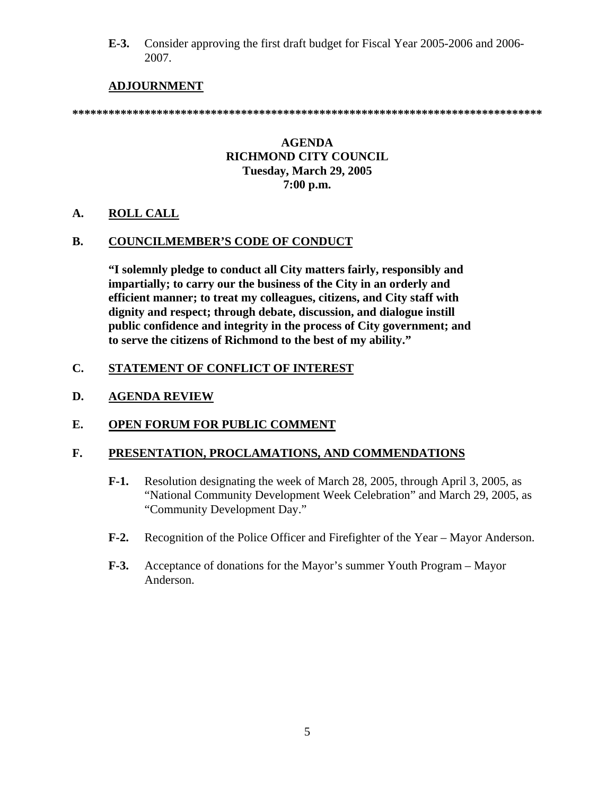**E-3.** Consider approving the first draft budget for Fiscal Year 2005-2006 and 2006- 2007.

### **ADJOURNMENT**

**\*\*\*\*\*\*\*\*\*\*\*\*\*\*\*\*\*\*\*\*\*\*\*\*\*\*\*\*\*\*\*\*\*\*\*\*\*\*\*\*\*\*\*\*\*\*\*\*\*\*\*\*\*\*\*\*\*\*\*\*\*\*\*\*\*\*\*\*\*\*\*\*\*\*\*\*\*\*** 

#### **AGENDA RICHMOND CITY COUNCIL Tuesday, March 29, 2005 7:00 p.m.**

#### **A. ROLL CALL**

#### **B. COUNCILMEMBER'S CODE OF CONDUCT**

 **"I solemnly pledge to conduct all City matters fairly, responsibly and impartially; to carry our the business of the City in an orderly and efficient manner; to treat my colleagues, citizens, and City staff with dignity and respect; through debate, discussion, and dialogue instill public confidence and integrity in the process of City government; and to serve the citizens of Richmond to the best of my ability."** 

#### **C. STATEMENT OF CONFLICT OF INTEREST**

#### **D. AGENDA REVIEW**

#### **E. OPEN FORUM FOR PUBLIC COMMENT**

#### **F. PRESENTATION, PROCLAMATIONS, AND COMMENDATIONS**

- **F-1.** Resolution designating the week of March 28, 2005, through April 3, 2005, as "National Community Development Week Celebration" and March 29, 2005, as "Community Development Day."
- **F-2.** Recognition of the Police Officer and Firefighter of the Year Mayor Anderson.
- **F-3.** Acceptance of donations for the Mayor's summer Youth Program Mayor Anderson.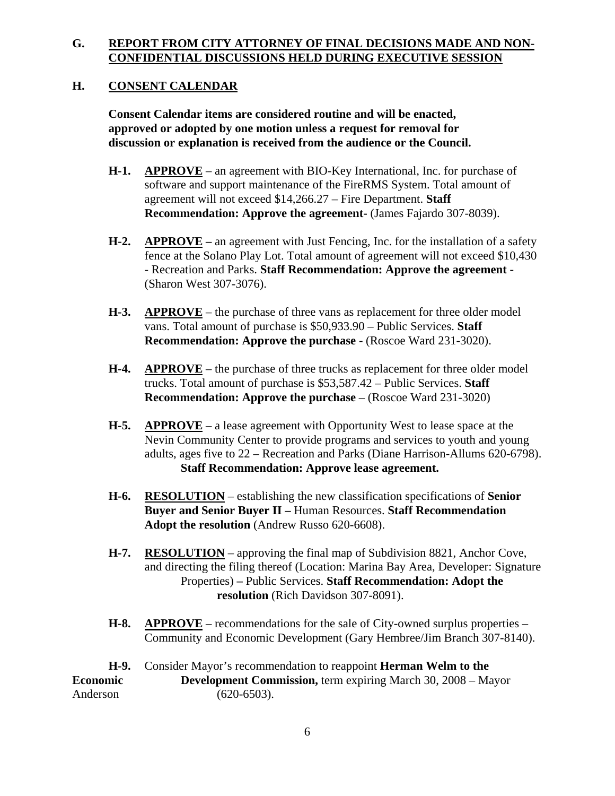### **G. REPORT FROM CITY ATTORNEY OF FINAL DECISIONS MADE AND NON-CONFIDENTIAL DISCUSSIONS HELD DURING EXECUTIVE SESSION**

### **H. CONSENT CALENDAR**

 **Consent Calendar items are considered routine and will be enacted, approved or adopted by one motion unless a request for removal for discussion or explanation is received from the audience or the Council.** 

- **H-1. APPROVE** an agreement with BIO-Key International, Inc. for purchase of software and support maintenance of the FireRMS System. Total amount of agreement will not exceed \$14,266.27 – Fire Department. **Staff Recommendation: Approve the agreement-** (James Fajardo 307-8039).
- **H-2. APPROVE** an agreement with Just Fencing, Inc. for the installation of a safety fence at the Solano Play Lot. Total amount of agreement will not exceed \$10,430 - Recreation and Parks. **Staff Recommendation: Approve the agreement -** (Sharon West 307-3076).
- **H-3. APPROVE** the purchase of three vans as replacement for three older model vans. Total amount of purchase is \$50,933.90 – Public Services. **Staff Recommendation: Approve the purchase - (Roscoe Ward 231-3020).**
- **H-4. APPROVE** the purchase of three trucks as replacement for three older model trucks. Total amount of purchase is \$53,587.42 – Public Services. **Staff Recommendation: Approve the purchase** – (Roscoe Ward 231-3020)
- **H-5. APPROVE** a lease agreement with Opportunity West to lease space at the Nevin Community Center to provide programs and services to youth and young adults, ages five to 22 – Recreation and Parks (Diane Harrison-Allums 620-6798). **Staff Recommendation: Approve lease agreement.**
- **H-6. RESOLUTION** establishing the new classification specifications of **Senior Buyer and Senior Buyer II –** Human Resources. **Staff Recommendation Adopt the resolution** (Andrew Russo 620-6608).
- **H-7. RESOLUTION** approving the final map of Subdivision 8821, Anchor Cove, and directing the filing thereof (Location: Marina Bay Area, Developer: Signature Properties) **–** Public Services. **Staff Recommendation: Adopt the resolution** (Rich Davidson 307-8091).
- **H-8. APPROVE** recommendations for the sale of City-owned surplus properties Community and Economic Development (Gary Hembree/Jim Branch 307-8140).

**H-9.** Consider Mayor's recommendation to reappoint **Herman Welm to the Economic Development Commission, term expiring March 30, 2008 – Mayor** Anderson (620-6503).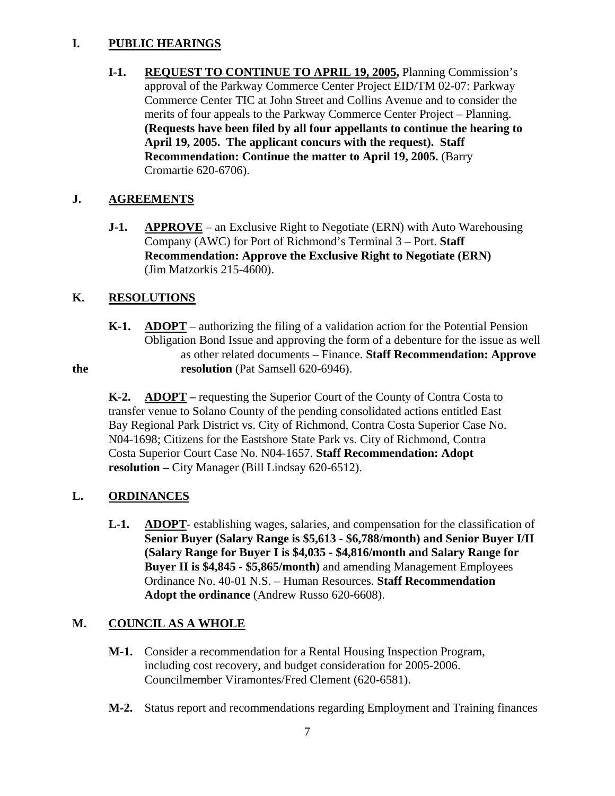### **I. PUBLIC HEARINGS**

 **I-1. REQUEST TO CONTINUE TO APRIL 19, 2005,** Planning Commission's approval of the Parkway Commerce Center Project EID/TM 02-07: Parkway Commerce Center TIC at John Street and Collins Avenue and to consider the merits of four appeals to the Parkway Commerce Center Project – Planning. **(Requests have been filed by all four appellants to continue the hearing to April 19, 2005. The applicant concurs with the request). Staff Recommendation: Continue the matter to April 19, 2005.** (Barry Cromartie 620-6706).

## **J. AGREEMENTS**

**J-1.** APPROVE – an Exclusive Right to Negotiate (ERN) with Auto Warehousing Company (AWC) for Port of Richmond's Terminal 3 – Port. **Staff Recommendation: Approve the Exclusive Right to Negotiate (ERN)** (Jim Matzorkis 215-4600).

## **K. RESOLUTIONS**

 **K-1. ADOPT** – authorizing the filing of a validation action for the Potential Pension Obligation Bond Issue and approving the form of a debenture for the issue as well as other related documents – Finance. **Staff Recommendation: Approve the** resolution (Pat Samsell 620-6946).

**K-2.** ADOPT – requesting the Superior Court of the County of Contra Costa to transfer venue to Solano County of the pending consolidated actions entitled East Bay Regional Park District vs. City of Richmond, Contra Costa Superior Case No. N04-1698; Citizens for the Eastshore State Park vs. City of Richmond, Contra Costa Superior Court Case No. N04-1657. **Staff Recommendation: Adopt resolution –** City Manager (Bill Lindsay 620-6512).

## **L. ORDINANCES**

 **L-1. ADOPT**- establishing wages, salaries, and compensation for the classification of **Senior Buyer (Salary Range is \$5,613 - \$6,788/month) and Senior Buyer I/II (Salary Range for Buyer I is \$4,035 - \$4,816/month and Salary Range for Buyer II is \$4,845 - \$5,865/month)** and amending Management Employees Ordinance No. 40-01 N.S. – Human Resources. **Staff Recommendation Adopt the ordinance** (Andrew Russo 620-6608).

## **M. COUNCIL AS A WHOLE**

- **M-1.** Consider a recommendation for a Rental Housing Inspection Program, including cost recovery, and budget consideration for 2005-2006. Councilmember Viramontes/Fred Clement (620-6581).
- **M-2.** Status report and recommendations regarding Employment and Training finances